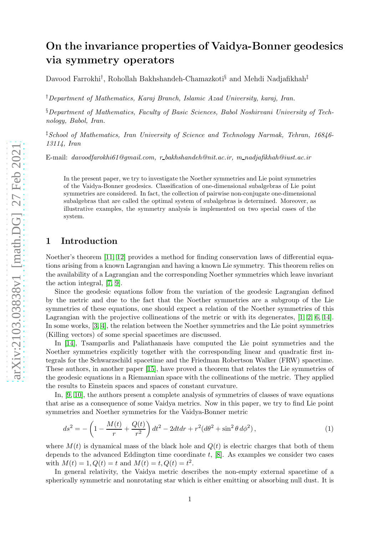# On the invariance properties of Vaidya-Bonner geodesics via symmetry operators

Davood Farrokhi† , Rohollah Bakhshandeh-Chamazkoti§ and Mehdi Nadjafikhah‡

†*Department of Mathematics, Karaj Branch, Islamic Azad University, karaj, Iran.*

§*Department of Mathematics, Faculty of Basic Sciences, Babol Noshirvani University of Technology, Babol, Iran.*

‡*School of Mathematics, Iran University of Science and Technology Narmak, Tehran, 16846- 13114, Iran*

E-mail: *davoodfarokhi61@gmail.com, r bakhshandeh@nit.ac.ir, m nadjafikhah@iust.ac.ir*

In the present paper, we try to investigate the Noether symmetries and Lie point symmetries of the Vaidya-Bonner geodesics. Classification of one-dimensional subalgebras of Lie point symmetries are considered. In fact, the collection of pairwise non-conjugate one-dimensional subalgebras that are called the optimal system of subalgebras is determined. Moreover, as illustrative examples, the symmetry analysis is implemented on two special cases of the system.

## 1 Introduction

Noether's theorem [\[11,](#page-8-0) [12\]](#page-8-1) provides a method for finding conservation laws of differential equations arising from a known Lagrangian and having a known Lie symmetry. This theorem relies on the availability of a Lagrangian and the corresponding Noether symmetries which leave invariant the action integral, [\[7,](#page-7-0) [9\]](#page-8-2).

Since the geodesic equations follow from the variation of the geodesic Lagrangian defined by the metric and due to the fact that the Noether symmetries are a subgroup of the Lie symmetries of these equations, one should expect a relation of the Noether symmetries of this Lagrangian with the projective collineations of the metric or with its degenerates, [\[1,](#page-7-1) [2,](#page-7-2) [6,](#page-7-3) [14\]](#page-8-3). In some works, [\[3,](#page-7-4) [4\]](#page-7-5), the relation between the Noether symmetries and the Lie point symmetries (Killing vectors) of some special spacetimes are discussed.

In [\[14\]](#page-8-3), Tsamparlis and Paliathanasis have computed the Lie point symmetries and the Noether symmetries explicitly together with the corresponding linear and quadratic first integrals for the Schwarzschild spacetime and the Friedman Robertson Walker (FRW) spacetime. These authors, in another paper [\[15\]](#page-8-4), have proved a theorem that relates the Lie symmetries of the geodesic equations in a Riemannian space with the collineations of the metric. They applied the results to Einstein spaces and spaces of constant curvature.

In, [\[9,](#page-8-2) [10\]](#page-8-5), the authors present a complete analysis of symmetries of classes of wave equations that arise as a consequence of some Vaidya metrics. Now in this paper, we try to find Lie point symmetries and Noether symmetries for the Vaidya-Bonner metric

<span id="page-0-0"></span>
$$
ds^{2} = -\left(1 - \frac{M(t)}{r} + \frac{Q(t)}{r^{2}}\right)dt^{2} - 2dt dr + r^{2}(d\theta^{2} + \sin^{2}\theta \, d\phi^{2}),\tag{1}
$$

where  $M(t)$  is dynamical mass of the black hole and  $Q(t)$  is electric charges that both of them depends to the advanced Eddington time coordinate t, [\[8\]](#page-7-6). As examples we consider two cases with  $M(t) = 1, Q(t) = t$  and  $M(t) = t, Q(t) = t^2$ .

In general relativity, the Vaidya metric describes the non-empty external spacetime of a spherically symmetric and nonrotating star which is either emitting or absorbing null dust. It is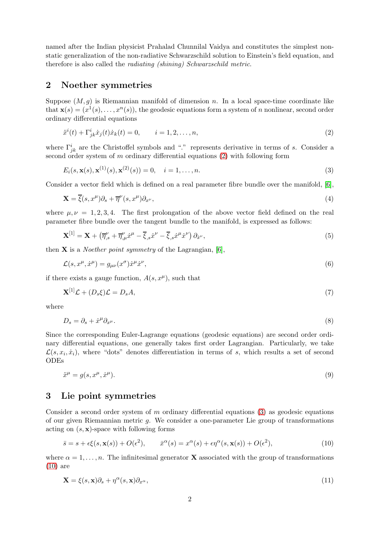named after the Indian physicist Prahalad Chunnilal Vaidya and constitutes the simplest nonstatic generalization of the non-radiative Schwarzschild solution to Einstein's field equation, and therefore is also called the *radiating (shining) Schwarzschild metric*.

## 2 Noether symmetries

Suppose  $(M, g)$  is Riemannian manifold of dimension n. In a local space-time coordinate like that  $\mathbf{x}(s) = (x^1(s), \dots, x^n(s)),$  the geodesic equations form a system of n nonlinear, second order ordinary differential equations

<span id="page-1-0"></span>
$$
\ddot{x}^{i}(t) + \Gamma^{i}_{jk}\dot{x}_{j}(t)\dot{x}_{k}(t) = 0, \qquad i = 1, 2, ..., n,
$$
\n(2)

where  $\Gamma^i_{jk}$  are the Christoffel symbols and "." represents derivative in terms of s. Consider a second order system of m ordinary differential equations  $(2)$  with following form

<span id="page-1-1"></span>
$$
E_i(s, \mathbf{x}(s), \mathbf{x}^{(1)}(s), \mathbf{x}^{(2)}(s)) = 0, \quad i = 1, \dots, n.
$$
\n(3)

Consider a vector field which is defined on a real parameter fibre bundle over the manifold, [\[6\]](#page-7-3),

$$
\mathbf{X} = \overline{\xi}(s, x^{\mu})\partial_s + \overline{\eta}^{\nu}(s, x^{\mu})\partial_{x^{\nu}},\tag{4}
$$

where  $\mu, \nu = 1, 2, 3, 4$ . The first prolongation of the above vector field defined on the real parameter fibre bundle over the tangent bundle to the manifold, is expressed as follows:

$$
\mathbf{X}^{[1]} = \mathbf{X} + \left(\overline{\eta}_{,s}^{\nu} + \overline{\eta}_{,\mu}^{\nu}\dot{x}^{\mu} - \overline{\xi}_{,s}\dot{x}^{\nu} - \overline{\xi}_{,s}\dot{x}^{\mu}\dot{x}^{\nu}\right)\partial_{\dot{x}^{\nu}},\tag{5}
$$

then X is a *Noether point symmetry* of the Lagrangian, [\[6\]](#page-7-3),

$$
\mathcal{L}(s, x^{\mu}, \dot{x}^{\mu}) = g_{\mu\nu}(x^{\sigma}) \dot{x}^{\mu} \dot{x}^{\nu},\tag{6}
$$

if there exists a gauge function,  $A(s, x^{\mu})$ , such that

<span id="page-1-3"></span>
$$
\mathbf{X}^{[1]}\mathcal{L} + (D_s \xi)\mathcal{L} = D_s A,\tag{7}
$$

where

$$
D_s = \partial_s + \dot{x}^\mu \partial_{x^\mu}.\tag{8}
$$

Since the corresponding Euler-Lagrange equations (geodesic equations) are second order ordinary differential equations, one generally takes first order Lagrangian. Particularly, we take  $\mathcal{L}(s, x_i, \dot{x}_i)$ , where "dots" denotes differentiation in terms of s, which results a set of second ODEs

$$
\ddot{x}^{\mu} = g(s, x^{\mu}, \dot{x}^{\mu}).\tag{9}
$$

## 3 Lie point symmetries

Consider a second order system of m ordinary differential equations  $(3)$  as geodesic equations of our given Riemannian metric g. We consider a one-parameter Lie group of transformations acting on  $(s, \mathbf{x})$ -space with following forms

<span id="page-1-2"></span>
$$
\bar{s} = s + \epsilon \xi(s, \mathbf{x}(s)) + O(\epsilon^2), \qquad \bar{x}^{\alpha}(s) = x^{\alpha}(s) + \epsilon \eta^{\alpha}(s, \mathbf{x}(s)) + O(\epsilon^2), \tag{10}
$$

where  $\alpha = 1, \ldots, n$ . The infinitesimal generator **X** associated with the group of transformations [\(10\)](#page-1-2) are

<span id="page-1-4"></span>
$$
\mathbf{X} = \xi(s, \mathbf{x})\partial_s + \eta^\alpha(s, \mathbf{x})\partial_{x^\alpha},\tag{11}
$$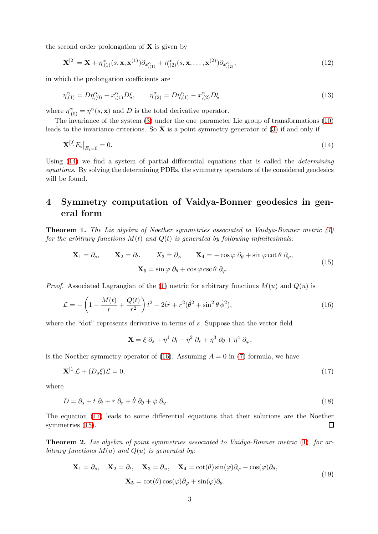the second order prolongation of  $X$  is given by

$$
\mathbf{X}^{[2]} = \mathbf{X} + \eta_{(1)}^{\alpha}(s, \mathbf{x}, \mathbf{x}^{(1)}) \partial_{x_{,(1)}^{\alpha}} + \eta_{(2)}^{\alpha}(s, \mathbf{x}, \dots, \mathbf{x}^{(2)}) \partial_{x_{,(2)}^{\alpha}},
$$
(12)

in which the prolongation coefficients are

$$
\eta_{,(1)}^{\alpha} = D\eta_{,(0)}^{\alpha} - x_{,(1)}^{\alpha}D\xi, \qquad \eta_{,(2)}^{\alpha} = D\eta_{,(1)}^{\alpha} - x_{,(2)}^{\alpha}D\xi
$$
\n(13)

where  $\eta_{(0)}^{\alpha} = \eta^{\alpha}(s, \mathbf{x})$  and D is the total derivative operator.

The invariance of the system [\(3\)](#page-1-1) under the one–parameter Lie group of transformations [\(10\)](#page-1-2) leads to the invariance criterions. So  $X$  is a point symmetry generator of [\(3\)](#page-1-1) if and only if

<span id="page-2-0"></span>
$$
\mathbf{X}^{[2]} E_i \big|_{E_i = 0} = 0. \tag{14}
$$

Using [\(14\)](#page-2-0) we find a system of partial differential equations that is called the *determining equations*. By solving the determining PDEs, the symmetry operators of the considered geodesics will be found.

## 4 Symmetry computation of Vaidya-Bonner geodesics in general form

Theorem 1. *The Lie algebra of Noether symmetries associated to Vaidya-Bonner metric [\(1\)](#page-0-0) for the arbitrary functions*  $M(t)$  *and*  $Q(t)$  *is generated by following infinitesimals:* 

$$
\mathbf{X}_1 = \partial_s, \qquad \mathbf{X}_2 = \partial_t, \qquad X_3 = \partial_\varphi \qquad \mathbf{X}_4 = -\cos\varphi \; \partial_\theta + \sin\varphi \cot\theta \; \partial_\varphi,
$$
  

$$
\mathbf{X}_5 = \sin\varphi \; \partial_\theta + \cos\varphi \csc\theta \; \partial_\varphi.
$$
 (15)

*Proof.* Associated Lagrangian of the [\(1\)](#page-0-0) metric for arbitrary functions  $M(u)$  and  $Q(u)$  is

<span id="page-2-1"></span>
$$
\mathcal{L} = -\left(1 - \frac{M(t)}{r} + \frac{Q(t)}{r^2}\right)\dot{t}^2 - 2\dot{t}\dot{r} + r^2(\dot{\theta}^2 + \sin^2\theta\,\dot{\phi}^2),\tag{16}
$$

where the "dot" represents derivative in terms of  $s$ . Suppose that the vector field

<span id="page-2-4"></span><span id="page-2-3"></span> $\mathbf{X} = \xi \partial_s + \eta^1 \partial_t + \eta^2 \partial_r + \eta^3 \partial_\theta + \eta^4 \partial_\varphi,$ 

is the Noether symmetry operator of [\(16\)](#page-2-1). Assuming  $A = 0$  in [\(7\)](#page-1-3) formula, we have

<span id="page-2-2"></span>
$$
\mathbf{X}^{[1]}\mathcal{L} + (D_s \xi)\mathcal{L} = 0,\tag{17}
$$

where

$$
D = \partial_s + \dot{t} \partial_t + \dot{r} \partial_r + \dot{\theta} \partial_\theta + \dot{\varphi} \partial_\varphi.
$$
\n(18)

The equation [\(17\)](#page-2-2) leads to some differential equations that their solutions are the Noether symmetries  $(15)$ .  $\Box$ 

Theorem 2. *Lie algebra of point symmetries associated to Vaidya-Bonner metric* [\(1\)](#page-0-0)*, for arbitrary functions*  $M(u)$  *and*  $Q(u)$  *is generated by:* 

$$
\mathbf{X}_1 = \partial_s, \quad \mathbf{X}_2 = \partial_t, \quad \mathbf{X}_3 = \partial_\varphi, \quad \mathbf{X}_4 = \cot(\theta)\sin(\varphi)\partial_\varphi - \cos(\varphi)\partial_\theta, \n\mathbf{X}_5 = \cot(\theta)\cos(\varphi)\partial_\varphi + \sin(\varphi)\partial_\theta.
$$
\n(19)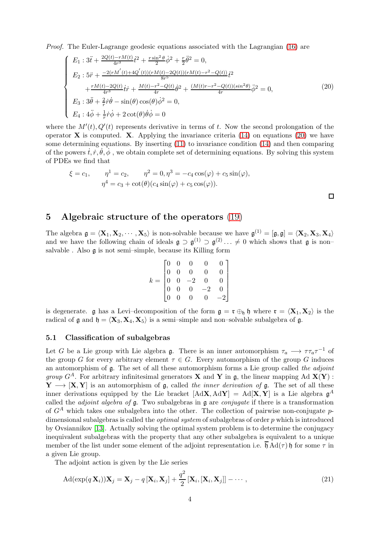*Proof.* The Euler-Lagrange geodesic equations associated with the Lagrangian [\(16\)](#page-2-1) are

<span id="page-3-0"></span>
$$
\begin{cases}\nE_1: 3\ddot{t} + \frac{2Q(t)-rM(t)}{4r^3}\dot{t}^2 + \frac{r\sin^2\theta}{2}\dot{\phi}^2 + \frac{r}{2}\ddot{\theta}^2 = 0, \\
E_2: 5\ddot{r} + \frac{-2(rM'(t)+4Q'(t))(rM(t)-2Q(t))(rM(t)-r^2-Q(t))}{8r^5}\dot{t}^2 \\
+ \frac{rM(t)-2Q(t)}{4r^3}\dot{t}\dot{r} + \frac{M(t)-r^2-Q(t)}{4r}\dot{\theta}^2 + \frac{(M(t)r-r^2-Q(t))(sin^2\theta)}{4r}\ddot{\phi}^2 = 0, \\
E_3: 3\ddot{\theta} + \frac{2}{r}\dot{r}\dot{\theta} - \sin(\theta)\cos(\theta)\dot{\phi}^2 = 0, \\
E_4: 4\ddot{\phi} + \frac{1}{r}\dot{r}\dot{\phi} + 2\cot(\theta)\dot{\theta}\dot{\phi} = 0\n\end{cases}
$$
\n(20)

where the  $M'(t), Q'(t)$  represents derivative in terms of t. Now the second prolongation of the operator  $X$  is computed.  $X$ . Applying the invariance criteria [\(14\)](#page-2-0) on equations [\(20\)](#page-3-0) we have some determining equations. By inserting  $(11)$  to invariance condition  $(14)$  and then comparing of the powers  $\dot{t}, \dot{r}, \dot{\theta}, \dot{\phi}$ , we obtain complete set of determining equations. By solving this system of PDEs we find that

$$
\xi = c_1,
$$
  $\eta^1 = c_2,$   $\eta^2 = 0, \eta^3 = -c_4 \cos(\varphi) + c_5 \sin(\varphi),$   
\n $\eta^4 = c_3 + \cot(\theta)(c_4 \sin(\varphi) + c_5 \cos(\varphi)).$ 

### 5 Algebraic structure of the operators [\(19\)](#page-2-4)

The algebra  $\mathfrak{g} = \langle \mathbf{X}_1, \mathbf{X}_2, \cdots, \mathbf{X}_5 \rangle$  is non-solvable because we have  $\mathfrak{g}^{(1)} = [\mathfrak{g}, \mathfrak{g}] = \langle \mathbf{X}_2, \mathbf{X}_3, \mathbf{X}_4 \rangle$ and we have the following chain of ideals  $\mathfrak{g} \supset \mathfrak{g}^{(1)} \supset \mathfrak{g}^{(2)} \dots \neq 0$  which shows that  $\mathfrak{g}$  is nonsalvable . Also g is not semi–simple, because its Killing form

$$
k = \begin{bmatrix} 0 & 0 & 0 & 0 & 0 \\ 0 & 0 & 0 & 0 & 0 \\ 0 & 0 & -2 & 0 & 0 \\ 0 & 0 & 0 & -2 & 0 \\ 0 & 0 & 0 & 0 & -2 \end{bmatrix}
$$

is degenerate. g has a Levi–decomposition of the form  $g = r \oplus_b b$  where  $r = \langle X_1, X_2 \rangle$  is the radical of  $\mathfrak{g}$  and  $\mathfrak{h} = \langle \mathbf{X}_3, \mathbf{X}_4, \mathbf{X}_5 \rangle$  is a semi–simple and non–solvable subalgebra of  $\mathfrak{g}$ .

#### 5.1 Classification of subalgebras

Let G be a Lie group with Lie algebra  $\mathfrak{g}$ . There is an inner automorphism  $\tau_a \longrightarrow \tau \tau_a \tau^{-1}$  of the group G for every arbitrary element  $\tau \in G$ . Every automorphism of the group G induces an automorphism of g. The set of all these automorphism forms a Lie group called *the adjoint group*  $G^A$ . For arbitrary infinitesimal generators **X** and **Y** in g, the linear mapping Ad  $\mathbf{X}(\mathbf{Y})$ :  $Y \longrightarrow [X, Y]$  is an automorphism of g, called *the inner derivation of* g. The set of all these inner derivations equipped by the Lie bracket  $[AdX, AdY] = Ad[X, Y]$  is a Lie algebra  $\mathfrak{g}^A$ called the *adjoint algebra of* g. Two subalgebras in g are *conjugate* if there is a transformation of  $G<sup>A</sup>$  which takes one subalgebra into the other. The collection of pairwise non-conjugate pdimensional subalgebras is called the *optimal system* of subalgebras of order p which is introduced by Ovsiannikov [\[13\]](#page-8-6). Actually solving the optimal system problem is to determine the conjugacy inequivalent subalgebras with the property that any other subalgebra is equivalent to a unique member of the list under some element of the adjoint representation i.e.  $\mathfrak{h} \text{Ad}(\tau) \mathfrak{h}$  for some  $\tau$  in a given Lie group.

The adjoint action is given by the Lie series

$$
\operatorname{Ad}(\exp(q\mathbf{X}_i))\mathbf{X}_j = \mathbf{X}_j - q[\mathbf{X}_i, \mathbf{X}_j] + \frac{q^2}{2}[\mathbf{X}_i, [\mathbf{X}_i, \mathbf{X}_j]] - \cdots,
$$
\n(21)

 $\Box$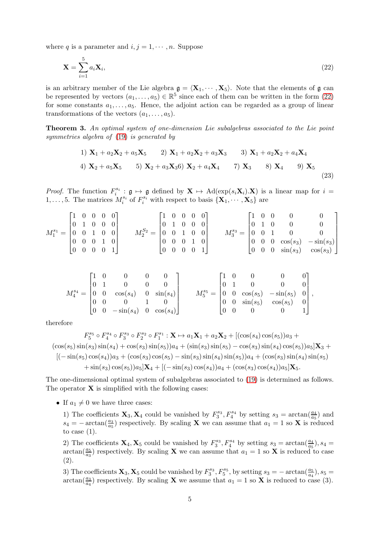where q is a parameter and  $i, j = 1, \dots, n$ . Suppose

<span id="page-4-0"></span>
$$
\mathbf{X} = \sum_{i=1}^{5} a_i \mathbf{X}_i,
$$
\n(22)

is an arbitrary member of the Lie algebra  $g = \langle X_1, \dots, X_5 \rangle$ . Note that the elements of g can be represented by vectors  $(a_1, \ldots, a_5) \in \mathbb{R}^5$  since each of them can be written in the form  $(22)$ for some constants  $a_1, \ldots, a_5$ . Hence, the adjoint action can be regarded as a group of linear transformations of the vectors  $(a_1, \ldots, a_5)$ .

Theorem 3. *An optimal system of one-dimension Lie subalgebras associated to the Lie point symmetries algebra of* [\(19\)](#page-2-4) *is generated by*

1) 
$$
\mathbf{X}_1 + a_2 \mathbf{X}_2 + a_5 \mathbf{X}_5
$$
 2)  $\mathbf{X}_1 + a_2 \mathbf{X}_2 + a_3 \mathbf{X}_3$  3)  $\mathbf{X}_1 + a_2 \mathbf{X}_2 + a_4 \mathbf{X}_4$   
4)  $\mathbf{X}_2 + a_5 \mathbf{X}_5$  5)  $\mathbf{X}_2 + a_3 \mathbf{X}_3$  6)  $\mathbf{X}_2 + a_4 \mathbf{X}_4$  7)  $\mathbf{X}_3$  8)  $\mathbf{X}_4$  9)  $\mathbf{X}_5$  (23)

*Proof.* The function  $F_i^{s_i}: \mathfrak{g} \mapsto \mathfrak{g}$  defined by  $X \mapsto \text{Ad}(\exp(s_i X_i).X)$  is a linear map for  $i =$  $1, \ldots, 5$ . The matrices  $M_i^{s_i}$  of  $F_i^{s_i}$  with respect to basis  $\{X_1, \cdots, X_5\}$  are

$$
M^{s_1}_1=\begin{bmatrix} 1 & 0 & 0 & 0 & 0 \\ 0 & 1 & 0 & 0 & 0 \\ 0 & 0 & 1 & 0 & 0 \\ 0 & 0 & 0 & 1 & 0 \\ 0 & 0 & 0 & 0 & 1 \end{bmatrix} \qquad M^{S_2}_2=\begin{bmatrix} 1 & 0 & 0 & 0 & 0 \\ 0 & 1 & 0 & 0 & 0 \\ 0 & 0 & 1 & 0 & 0 \\ 0 & 0 & 0 & 1 & 0 \\ 0 & 0 & 0 & 0 & 1 \end{bmatrix} \qquad M^{s_3}_3=\begin{bmatrix} 1 & 0 & 0 & 0 & 0 & 0 \\ 0 & 1 & 0 & 0 & 0 & 0 \\ 0 & 0 & 1 & 0 & 0 & 0 \\ 0 & 0 & 0 & \cos(s_3) & -\sin(s_3) \\ 0 & 0 & 0 & \sin(s_3) & \cos(s_3) \end{bmatrix}
$$

$$
M_4^{s_4} = \begin{bmatrix} 1 & 0 & 0 & 0 & 0 \\ 0 & 1 & 0 & 0 & 0 \\ 0 & 0 & \cos(s_4) & 0 & \sin(s_4) \\ 0 & 0 & 0 & 1 & 0 \\ 0 & 0 & -\sin(s_4) & 0 & \cos(s_4) \end{bmatrix} \qquad M_5^{s_5} = \begin{bmatrix} 1 & 0 & 0 & 0 & 0 \\ 0 & 1 & 0 & 0 & 0 \\ 0 & 0 & \cos(s_5) & -\sin(s_5) & 0 \\ 0 & 0 & \sin(s_5) & \cos(s_5) & 0 \\ 0 & 0 & 0 & 0 & 1 \end{bmatrix},
$$

therefore

$$
F_5^{s_5} \circ F_4^{s_4} \circ F_3^{s_3} \circ F_2^{s_2} \circ F_1^{s_1} : \mathbf{X} \mapsto a_1 \mathbf{X}_1 + a_2 \mathbf{X}_2 + [(\cos(s_4) \cos(s_5))a_3 + (\cos(s_5) \sin(s_3) \sin(s_4) + \cos(s_3) \sin(s_5))a_4 + (\sin(s_3) \sin(s_5) - \cos(s_3) \sin(s_4) \cos(s_5))a_5] \mathbf{X}_3 + [(-\sin(s_5) \cos(s_4))a_3 + (\cos(s_3) \cos(s_5) - \sin(s_3) \sin(s_4) \sin(s_5))a_4 + (\cos(s_3) \sin(s_4) \sin(s_5) + \sin(s_3) \cos(s_5))a_5] \mathbf{X}_4 + [(-\sin(s_3) \cos(s_4))a_4 + (\cos(s_3) \cos(s_4))a_5] \mathbf{X}_5.
$$

The one-dimensional optimal system of subalgebras associated to [\(19\)](#page-2-4) is determined as follows. The operator  $X$  is simplified with the following cases:

• If  $a_1 \neq 0$  we have three cases:

1) The coefficients  $\mathbf{X}_3, \mathbf{X}_4$  could be vanished by  $F_3^{s_3}, F_4^{s_4}$  by setting  $s_3 = \arctan(\frac{a_4}{a_5})$  and  $s_4 = -\arctan(\frac{a_3}{a_5})$  respectively. By scaling **X** we can assume that  $a_1 = 1$  so **X** is reduced to case  $(1)$ .

2) The coefficients  $\mathbf{X}_4, \mathbf{X}_5$  could be vanished by  $F_3^{s_3}, F_4^{s_4}$  by setting  $s_3 = \arctan(\frac{a_4}{a_5}), s_4 =$  $\arctan(\frac{a_5}{a_3})$  respectively. By scaling **X** we can assume that  $a_1 = 1$  so **X** is reduced to case (2).

3) The coefficients  $\mathbf{X}_3, \mathbf{X}_5$  could be vanished by  $F_3^{s_3}, F_5^{s_5}$ , by setting  $s_3 = -\arctan(\frac{a_5}{a_4}), s_5 =$  $\arctan(\frac{a_3}{a_4})$  respectively. By scaling **X** we assume that  $a_1 = 1$  so **X** is reduced to case (3).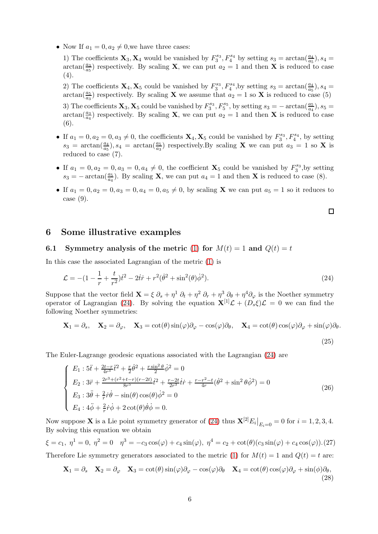• Now If  $a_1 = 0, a_2 \neq 0$ , we have three cases:

1) The coefficients  $\mathbf{X}_3, \mathbf{X}_4$  would be vanished by  $F_3^{s_3}, F_4^{s_4}$  by setting  $s_3 = \arctan(\frac{a_4}{a_5}), s_4 =$  $\arctan(\frac{a_3}{a_5})$  respectively. By scaling **X**, we can put  $a_2 = 1$  and then **X** is reduced to case  $(4).$ 

2) The coefficients  $\mathbf{X}_4, \mathbf{X}_5$  could be vanished by  $F_3^{s_3}, F_4^{s_4}$ , by setting  $s_3 = \arctan(\frac{a_4}{a_5}), s_4 =$  $\arctan(\frac{a_5}{a_3})$  respectively. By scaling **X** we assume that  $a_2 = 1$  so **X** is reduced to case (5)

3) The coefficients  $\mathbf{X}_3, \mathbf{X}_5$  could be vanished by  $F_3^{s_3}, F_5^{s_5}$ , by setting  $s_3 = -\arctan(\frac{a_5}{a_4}), s_5 =$  $\arctan(\frac{a_3}{a_4})$  respectively. By scaling **X**, we can put  $a_2 = 1$  and then **X** is reduced to case (6).

- If  $a_1 = 0, a_2 = 0, a_3 \neq 0$ , the coefficients  $\mathbf{X}_4, \mathbf{X}_5$  could be vanished by  $F_3^{s_3}, F_4^{s_4}$ , by setting  $s_3 = \arctan(\frac{a_4}{a_5}), s_4 = \arctan(\frac{a_5}{a_3})$  respectively. By scaling **X** we can put  $a_3 = 1$  so **X** is reduced to case (7).
- If  $a_1 = 0, a_2 = 0, a_3 = 0, a_4 \neq 0$ , the coefficient  $\mathbf{X}_5$  could be vanished by  $F_3^{s_3}$ , by setting  $s_3 = -\arctan(\frac{a_5}{a_4})$ . By scaling **X**, we can put  $a_4 = 1$  and then **X** is reduced to case (8).
- If  $a_1 = 0, a_2 = 0, a_3 = 0, a_4 = 0, a_5 \neq 0$ , by scaling **X** we can put  $a_5 = 1$  so it reduces to case (9).

<span id="page-5-0"></span>
$$
\Box
$$

## 6 Some illustrative examples

#### 6.1 Symmetry analysis of the metric [\(1\)](#page-0-0) for  $M(t) = 1$  and  $Q(t) = t$

In this case the associated Lagrangian of the metric [\(1\)](#page-0-0) is

$$
\mathcal{L} = -(1 - \frac{1}{r} + \frac{t}{r^2})\dot{t}^2 - 2\dot{t}\dot{r} + r^2(\dot{\theta}^2 + \sin^2(\theta)\dot{\phi}^2). \tag{24}
$$

Suppose that the vector field  $\mathbf{X} = \xi \partial_s + \eta^1 \partial_t + \eta^2 \partial_r + \eta^3 \partial_\theta + \eta^4 \partial_\varphi$  is the Noether symmetry operator of Lagrangian [\(24\)](#page-5-0). By solving the equation  $\mathbf{X}^{[1]}\mathcal{L} + (D_s \xi)\mathcal{L} = 0$  we can find the following Noether symmetries:

$$
\mathbf{X}_1 = \partial_s, \quad \mathbf{X}_2 = \partial_\varphi, \quad \mathbf{X}_3 = \cot(\theta)\sin(\varphi)\partial_\varphi - \cos(\varphi)\partial_\theta, \quad \mathbf{X}_4 = \cot(\theta)\cos(\varphi)\partial_\varphi + \sin(\varphi)\partial_\theta.
$$
\n(25)

The Euler-Lagrange geodesic equations associated with the Lagrangian [\(24\)](#page-5-0) are

$$
\begin{cases}\nE_1: 5\ddot{t} + \frac{2t-r}{4r^3}\ddot{t}^2 + \frac{r}{2}\dot{\theta}^2 + \frac{r\sin^2\theta}{2}\dot{\phi}^2 = 0\\ \nE_2: 3\ddot{r} + \frac{2r^3 + (r^2 + t - r)(r - 2t)}{8r^5}\dot{t}^2 + \frac{r - 2t}{2r^3}\dot{t}\dot{r} + \frac{r - r^2 - t}{4r}(\dot{\theta}^2 + \sin^2\theta\dot{\phi}^2) = 0\\ \nE_3: 3\ddot{\theta} + \frac{2}{r}\dot{r}\dot{\theta} - \sin(\theta)\cos(\theta)\dot{\phi}^2 = 0\\ \nE_4: 4\ddot{\phi} + \frac{2}{r}\dot{r}\dot{\phi} + 2\cot(\theta)\dot{\theta}\dot{\phi} = 0.\n\end{cases} \tag{26}
$$

Now suppose **X** is a Lie point symmetry generator of [\(24\)](#page-5-0) thus  $\mathbf{X}^{[2]}E_i|_{E_i=0} = 0$  for  $i = 1, 2, 3, 4$ . By solving this equation we obtain

$$
\xi = c_1, \ \eta^1 = 0, \ \eta^2 = 0 \quad \eta^3 = -c_3 \cos(\varphi) + c_4 \sin(\varphi), \ \eta^4 = c_2 + \cot(\theta)(c_3 \sin(\varphi) + c_4 \cos(\varphi)).
$$
 (27)  
Therefore Lie symmetry generators associated to the metric (1) for  $M(t) = 1$  and  $Q(t) = t$  are:

<span id="page-5-1"></span>
$$
\mathbf{X}_1 = \partial_s \quad \mathbf{X}_2 = \partial_\varphi \quad \mathbf{X}_3 = \cot(\theta)\sin(\varphi)\partial_\varphi - \cos(\varphi)\partial_\theta \quad \mathbf{X}_4 = \cot(\theta)\cos(\varphi)\partial_\varphi + \sin(\phi)\partial_\theta,
$$
\n(28)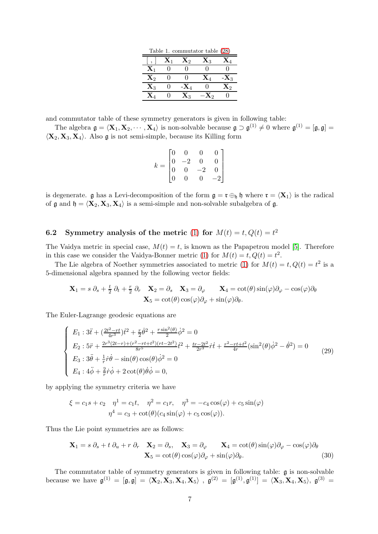| Table 1. commutator table (28) |                |                  |                  |                |  |  |  |  |
|--------------------------------|----------------|------------------|------------------|----------------|--|--|--|--|
|                                | $\mathbf{X}_1$ | $\mathbf{X}_2$   | $\mathbf{X}_3$   |                |  |  |  |  |
| $\mathbf{X}_1$                 |                |                  |                  |                |  |  |  |  |
| $\mathbf{X}_2$                 |                |                  | $\mathbf{X}_4$   | $-X_3$         |  |  |  |  |
| $\mathbf{X}_3$                 |                | - $\mathbf{X}_4$ |                  | $\mathbf{X}_2$ |  |  |  |  |
| $\mathbf{X}_{A}$               |                | $\mathbf{X}_3$   | - $\mathbf{X}_2$ |                |  |  |  |  |

and commutator table of these symmetry generators is given in following table:

The algebra  $\mathfrak{g} = \langle \mathbf{X}_1, \mathbf{X}_2, \cdots, \mathbf{X}_4 \rangle$  is non-solvable because  $\mathfrak{g} \supset \mathfrak{g}^{(1)} \neq 0$  where  $\mathfrak{g}^{(1)} = [\mathfrak{g}, \mathfrak{g}] =$  $\langle \mathbf{X}_2, \mathbf{X}_3, \mathbf{X}_4 \rangle$ . Also g is not semi-simple, because its Killing form

$$
k = \begin{bmatrix} 0 & 0 & 0 & 0 \\ 0 & -2 & 0 & 0 \\ 0 & 0 & -2 & 0 \\ 0 & 0 & 0 & -2 \end{bmatrix}
$$

is degenerate. g has a Levi-decomposition of the form  $\mathfrak{g} = \mathfrak{r} \oplus_{\mathfrak{h}} \mathfrak{h}$  where  $\mathfrak{r} = \langle \mathbf{X}_1 \rangle$  is the radical of  $\mathfrak g$  and  $\mathfrak h = \langle \mathbf{X}_2, \mathbf{X}_3, \mathbf{X}_4 \rangle$  is a semi-simple and non-solvable subalgebra of  $\mathfrak g$ .

## 6.2 Symmetry analysis of the metric [\(1\)](#page-0-0) for  $M(t) = t, Q(t) = t^2$

The Vaidya metric in special case,  $M(t) = t$ , is known as the Papapetrou model [\[5\]](#page-7-7). Therefore in this case we consider the Vaidya-Bonner metric [\(1\)](#page-0-0) for  $M(t) = t, Q(t) = t^2$ .

The Lie algebra of Noether symmetries associated to metric [\(1\)](#page-0-0) for  $M(t) = t, Q(t) = t^2$  is a 5-dimensional algebra spanned by the following vector fields:

$$
\mathbf{X}_1 = s \, \partial_s + \frac{t}{2} \, \partial_t + \frac{r}{2} \, \partial_r \quad \mathbf{X}_2 = \partial_s \quad \mathbf{X}_3 = \partial_\varphi \qquad \mathbf{X}_4 = \cot(\theta) \sin(\varphi) \partial_\varphi - \cos(\varphi) \partial_\theta \mathbf{X}_5 = \cot(\theta) \cos(\varphi) \partial_\varphi + \sin(\varphi) \partial_\theta.
$$

The Euler-Lagrange geodesic equations are

$$
\begin{cases}\nE_1: 3\ddot{t} + \left(\frac{2t^2 - rt}{4r^3}\right)\dot{t}^2 + \frac{r}{2}\dot{\theta}^2 + \frac{r\sin^2(\theta)}{2}\dot{\phi}^2 = 0 \\
E_2: 5\ddot{r} + \frac{2r^3(2t - r) + (r^2 - rt + t^2)(rt - 2t^2)}{8r^5}\dot{t}^2 + \frac{tr - 2t^2}{2r^3}\dot{r}\dot{t} + \frac{r^2 - rt + t^2}{4r}(\sin^2(\theta)\dot{\phi}^2 - \dot{\theta}^2) = 0 \\
E_3: 3\ddot{\theta} + \frac{1}{r}\dot{r}\dot{\theta} - \sin(\theta)\cos(\theta)\dot{\phi}^2 = 0 \\
E_4: 4\ddot{\phi} + \frac{2}{r}\dot{r}\dot{\phi} + 2\cot(\theta)\dot{\theta}\dot{\phi} = 0,\n\end{cases}
$$
\n(29)

by applying the symmetry criteria we have

$$
\xi = c_1 s + c_2 \quad \eta^1 = c_1 t, \quad \eta^2 = c_1 r, \quad \eta^3 = -c_4 \cos(\varphi) + c_5 \sin(\varphi) \eta^4 = c_3 + \cot(\theta)(c_4 \sin(\varphi) + c_5 \cos(\varphi)).
$$

Thus the Lie point symmetries are as follows:

<span id="page-6-0"></span>
$$
\mathbf{X}_1 = s \, \partial_s + t \, \partial_u + r \, \partial_r \quad \mathbf{X}_2 = \partial_s, \quad \mathbf{X}_3 = \partial_\varphi \quad \mathbf{X}_4 = \cot(\theta) \sin(\varphi) \partial_\varphi - \cos(\varphi) \partial_\theta \n\mathbf{X}_5 = \cot(\theta) \cos(\varphi) \partial_\varphi + \sin(\varphi) \partial_\theta.
$$
\n(30)

The commutator table of symmetry generators is given in following table: g is non-solvable because we have  $\mathfrak{g}^{(1)} = [\mathfrak{g}, \mathfrak{g}] = \langle \mathbf{X}_2, \mathbf{X}_3, \mathbf{X}_4, \mathbf{X}_5 \rangle$  ,  $\mathfrak{g}^{(2)} = [\mathfrak{g}^{(1)}, \mathfrak{g}^{(1)}] = \langle \mathbf{X}_3, \mathbf{X}_4, \mathbf{X}_5 \rangle$ ,  $\mathfrak{g}^{(3)} =$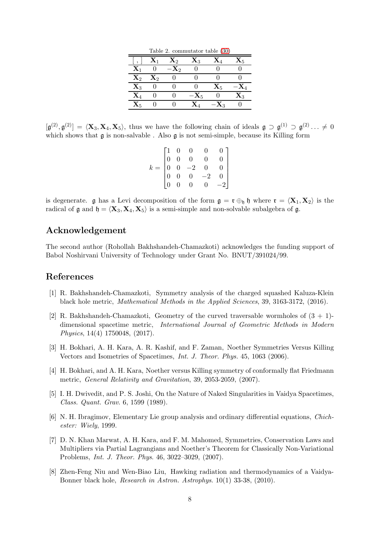| Table 2. commutator table (30) |                |                 |                |                |                 |  |  |
|--------------------------------|----------------|-----------------|----------------|----------------|-----------------|--|--|
|                                | $\mathbf{X}_1$ | $\mathbf{X}_2$  | $\mathbf{X}_3$ | $\mathbf{X}_4$ | $\mathbf{X}_5$  |  |  |
| $\mathbf{X}_1$                 |                | $-\mathbf{X}_2$ |                |                |                 |  |  |
| $\mathbf{X}_2$                 | $\mathbf{X}_2$ |                 |                |                |                 |  |  |
| $\mathbf{X}_3$                 |                |                 |                | $\mathbf{X}_5$ | $-\mathbf{X}_4$ |  |  |
| $\mathbf{X}_4$                 |                |                 | $-{\bf X}_5$   |                | Xз              |  |  |
| $\mathbf{X}_5$                 |                |                 | $\mathbf{X}_4$ | $-{\bf X}_3$   |                 |  |  |

 $[\mathfrak{g}^{(2)}, \mathfrak{g}^{(2)}] = \langle \mathbf{X}_3, \mathbf{X}_4, \mathbf{X}_5 \rangle$ , thus we have the following chain of ideals  $\mathfrak{g} \supset \mathfrak{g}^{(1)} \supset \mathfrak{g}^{(2)} \dots \neq 0$ which shows that  $\mathfrak g$  is non-salvable. Also  $\mathfrak g$  is not semi-simple, because its Killing form

|       |  | $\begin{bmatrix} 1 & 0 & 0 & 0 & 0 \\ 0 & 0 & 0 & 0 & 0 \\ 0 & 0 & -2 & 0 & 0 \\ 0 & 0 & 0 & -2 & 0 \\ 0 & 0 & 0 & 0 & -2 \end{bmatrix}$ | 0 <sub>1</sub> |
|-------|--|------------------------------------------------------------------------------------------------------------------------------------------|----------------|
|       |  |                                                                                                                                          | $0-1$          |
| $k =$ |  |                                                                                                                                          | $\vert$ 0      |
|       |  |                                                                                                                                          | $\vert$        |
|       |  |                                                                                                                                          |                |

is degenerate. g has a Levi decomposition of the form  $\mathfrak{g} = \mathfrak{r} \oplus_{\mathfrak{h}} \mathfrak{h}$  where  $\mathfrak{r} = \langle \mathbf{X}_1, \mathbf{X}_2 \rangle$  is the radical of  $\mathfrak g$  and  $\mathfrak h = \langle \mathbf{X}_3, \mathbf{X}_4, \mathbf{X}_5 \rangle$  is a semi-simple and non-solvable subalgebra of  $\mathfrak g$ .

## Acknowledgement

The second author (Rohollah Bakhshandeh-Chamazkoti) acknowledges the funding support of Babol Noshirvani University of Technology under Grant No. BNUT/391024/99.

## <span id="page-7-1"></span>References

- [1] R. Bakhshandeh-Chamazkoti, Symmetry analysis of the charged squashed Kaluza-Klein black hole metric, *Mathematical Methods in the Applied Sciences*, 39, 3163-3172, (2016).
- <span id="page-7-2"></span>[2] R. Bakhshandeh-Chamazkoti, Geometry of the curved traversable wormholes of  $(3 + 1)$ dimensional spacetime metric, *International Journal of Geometric Methods in Modern Physics*, 14(4) 1750048, (2017).
- <span id="page-7-4"></span>[3] H. Bokhari, A. H. Kara, A. R. Kashif, and F. Zaman, Noether Symmetries Versus Killing Vectors and Isometries of Spacetimes, *Int. J. Theor. Phys.* 45, 1063 (2006).
- <span id="page-7-5"></span>[4] H. Bokhari, and A. H. Kara, Noether versus Killing symmetry of conformally flat Friedmann metric, *General Relativity and Gravitation*, 39, 2053-2059, (2007).
- <span id="page-7-7"></span>[5] I. H. Dwivedit, and P. S. Joshi, On the Nature of Naked Singularities in Vaidya Spacetimes, *Class. Quant. Grav*. 6, 1599 (1989).
- <span id="page-7-3"></span>[6] N. H. Ibragimov, Elementary Lie group analysis and ordinary differential equations, *Chichester: Wiely*, 1999.
- <span id="page-7-0"></span>[7] D. N. Khan Marwat, A. H. Kara, and F. M. Mahomed, Symmetries, Conservation Laws and Multipliers via Partial Lagrangians and Noether's Theorem for Classically Non-Variational Problems, *Int. J. Theor. Phys*. 46, 3022–3029, (2007).
- <span id="page-7-6"></span>[8] Zhen-Feng Niu and Wen-Biao Liu, Hawking radiation and thermodynamics of a Vaidya-Bonner black hole, *Research in Astron. Astrophys*. 10(1) 33-38, (2010).